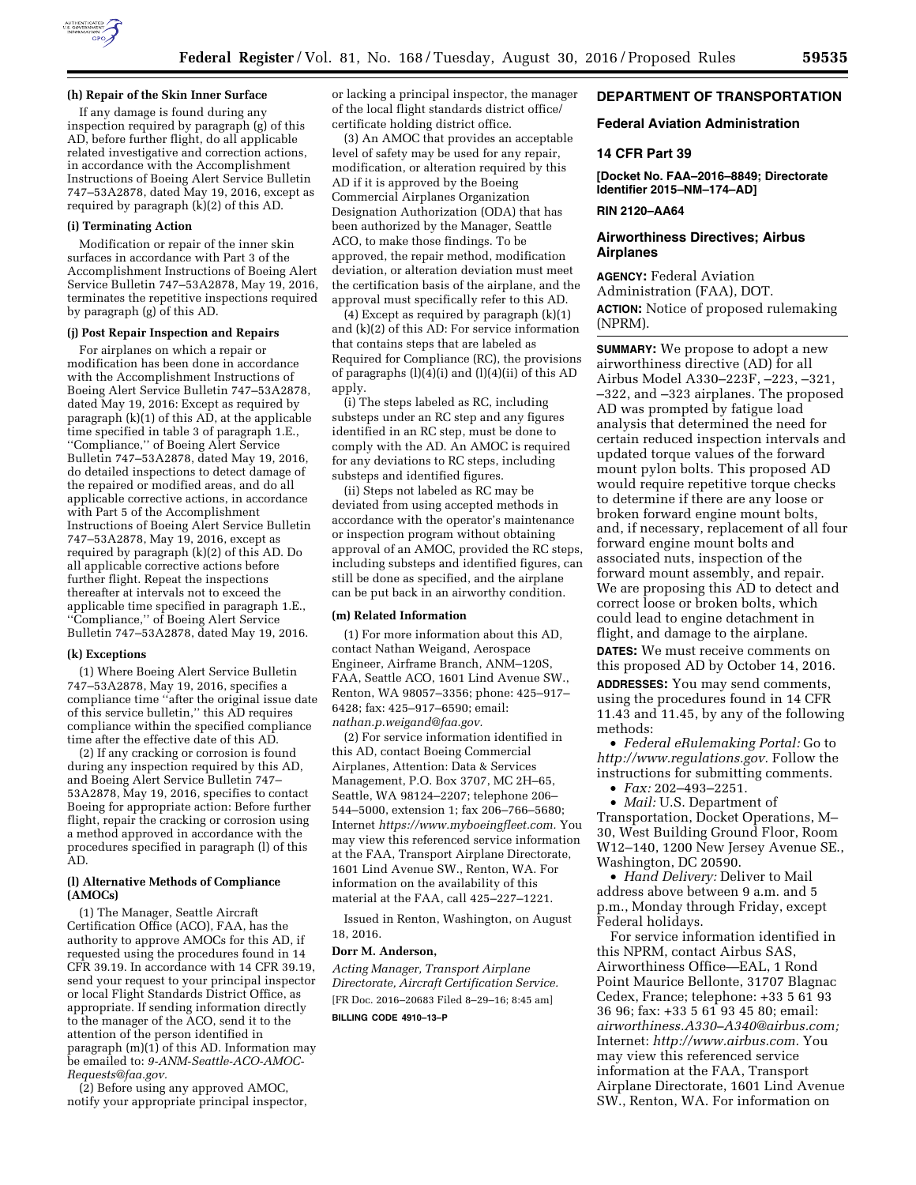

# **(h) Repair of the Skin Inner Surface**

If any damage is found during any inspection required by paragraph (g) of this AD, before further flight, do all applicable related investigative and correction actions, in accordance with the Accomplishment Instructions of Boeing Alert Service Bulletin 747–53A2878, dated May 19, 2016, except as required by paragraph (k)(2) of this AD.

#### **(i) Terminating Action**

Modification or repair of the inner skin surfaces in accordance with Part 3 of the Accomplishment Instructions of Boeing Alert Service Bulletin 747–53A2878, May 19, 2016, terminates the repetitive inspections required by paragraph (g) of this AD.

#### **(j) Post Repair Inspection and Repairs**

For airplanes on which a repair or modification has been done in accordance with the Accomplishment Instructions of Boeing Alert Service Bulletin 747–53A2878, dated May 19, 2016: Except as required by paragraph (k)(1) of this AD, at the applicable time specified in table 3 of paragraph 1.E., ''Compliance,'' of Boeing Alert Service Bulletin 747–53A2878, dated May 19, 2016, do detailed inspections to detect damage of the repaired or modified areas, and do all applicable corrective actions, in accordance with Part 5 of the Accomplishment Instructions of Boeing Alert Service Bulletin 747–53A2878, May 19, 2016, except as required by paragraph (k)(2) of this AD. Do all applicable corrective actions before further flight. Repeat the inspections thereafter at intervals not to exceed the applicable time specified in paragraph 1.E., ''Compliance,'' of Boeing Alert Service Bulletin 747–53A2878, dated May 19, 2016.

#### **(k) Exceptions**

(1) Where Boeing Alert Service Bulletin 747–53A2878, May 19, 2016, specifies a compliance time ''after the original issue date of this service bulletin,'' this AD requires compliance within the specified compliance time after the effective date of this AD.

(2) If any cracking or corrosion is found during any inspection required by this AD, and Boeing Alert Service Bulletin 747– 53A2878, May 19, 2016, specifies to contact Boeing for appropriate action: Before further flight, repair the cracking or corrosion using a method approved in accordance with the procedures specified in paragraph (l) of this AD.

# **(l) Alternative Methods of Compliance (AMOCs)**

(1) The Manager, Seattle Aircraft Certification Office (ACO), FAA, has the authority to approve AMOCs for this AD, if requested using the procedures found in 14 CFR 39.19. In accordance with 14 CFR 39.19, send your request to your principal inspector or local Flight Standards District Office, as appropriate. If sending information directly to the manager of the ACO, send it to the attention of the person identified in paragraph  $(m)(1)$  of this AD. Information may be emailed to: *[9-ANM-Seattle-ACO-AMOC-](mailto:9-ANM-Seattle-ACO-AMOC-Requests@faa.gov)[Requests@faa.gov.](mailto:9-ANM-Seattle-ACO-AMOC-Requests@faa.gov)* 

(2) Before using any approved AMOC, notify your appropriate principal inspector, or lacking a principal inspector, the manager of the local flight standards district office/ certificate holding district office.

(3) An AMOC that provides an acceptable level of safety may be used for any repair, modification, or alteration required by this AD if it is approved by the Boeing Commercial Airplanes Organization Designation Authorization (ODA) that has been authorized by the Manager, Seattle ACO, to make those findings. To be approved, the repair method, modification deviation, or alteration deviation must meet the certification basis of the airplane, and the approval must specifically refer to this AD.

(4) Except as required by paragraph (k)(1) and (k)(2) of this AD: For service information that contains steps that are labeled as Required for Compliance (RC), the provisions of paragraphs (l)(4)(i) and (l)(4)(ii) of this AD apply.

(i) The steps labeled as RC, including substeps under an RC step and any figures identified in an RC step, must be done to comply with the AD. An AMOC is required for any deviations to RC steps, including substeps and identified figures.

(ii) Steps not labeled as RC may be deviated from using accepted methods in accordance with the operator's maintenance or inspection program without obtaining approval of an AMOC, provided the RC steps, including substeps and identified figures, can still be done as specified, and the airplane can be put back in an airworthy condition.

### **(m) Related Information**

(1) For more information about this AD, contact Nathan Weigand, Aerospace Engineer, Airframe Branch, ANM–120S, FAA, Seattle ACO, 1601 Lind Avenue SW., Renton, WA 98057–3356; phone: 425–917– 6428; fax: 425–917–6590; email: *[nathan.p.weigand@faa.gov.](mailto:nathan.p.weigand@faa.gov)* 

(2) For service information identified in this AD, contact Boeing Commercial Airplanes, Attention: Data & Services Management, P.O. Box 3707, MC 2H–65, Seattle, WA 98124–2207; telephone 206– 544–5000, extension 1; fax 206–766–5680; Internet *[https://www.myboeingfleet.com.](https://www.myboeingfleet.com)* You may view this referenced service information at the FAA, Transport Airplane Directorate, 1601 Lind Avenue SW., Renton, WA. For information on the availability of this material at the FAA, call 425–227–1221.

Issued in Renton, Washington, on August 18, 2016.

#### **Dorr M. Anderson,**

*Acting Manager, Transport Airplane Directorate, Aircraft Certification Service.*  [FR Doc. 2016–20683 Filed 8–29–16; 8:45 am] **BILLING CODE 4910–13–P** 

# **DEPARTMENT OF TRANSPORTATION**

### **Federal Aviation Administration**

# **14 CFR Part 39**

**[Docket No. FAA–2016–8849; Directorate Identifier 2015–NM–174–AD]** 

### **RIN 2120–AA64**

# **Airworthiness Directives; Airbus Airplanes**

**AGENCY:** Federal Aviation Administration (FAA), DOT. **ACTION:** Notice of proposed rulemaking (NPRM).

**SUMMARY:** We propose to adopt a new airworthiness directive (AD) for all Airbus Model A330–223F, –223, –321, –322, and –323 airplanes. The proposed AD was prompted by fatigue load analysis that determined the need for certain reduced inspection intervals and updated torque values of the forward mount pylon bolts. This proposed AD would require repetitive torque checks to determine if there are any loose or broken forward engine mount bolts, and, if necessary, replacement of all four forward engine mount bolts and associated nuts, inspection of the forward mount assembly, and repair. We are proposing this AD to detect and correct loose or broken bolts, which could lead to engine detachment in flight, and damage to the airplane. **DATES:** We must receive comments on this proposed AD by October 14, 2016. **ADDRESSES:** You may send comments, using the procedures found in 14 CFR 11.43 and 11.45, by any of the following methods:

• *Federal eRulemaking Portal:* Go to *[http://www.regulations.gov.](http://www.regulations.gov)* Follow the instructions for submitting comments.

• *Fax:* 202–493–2251.

• *Mail:* U.S. Department of Transportation, Docket Operations, M– 30, West Building Ground Floor, Room W12–140, 1200 New Jersey Avenue SE., Washington, DC 20590.

• *Hand Delivery:* Deliver to Mail address above between 9 a.m. and 5 p.m., Monday through Friday, except Federal holidays.

For service information identified in this NPRM, contact Airbus SAS, Airworthiness Office—EAL, 1 Rond Point Maurice Bellonte, 31707 Blagnac Cedex, France; telephone: +33 5 61 93 36 96; fax: +33 5 61 93 45 80; email: *[airworthiness.A330–A340@airbus.com;](mailto:airworthiness.A330-A340@airbus.com)*  Internet: *[http://www.airbus.com.](http://www.airbus.com)* You may view this referenced service information at the FAA, Transport Airplane Directorate, 1601 Lind Avenue SW., Renton, WA. For information on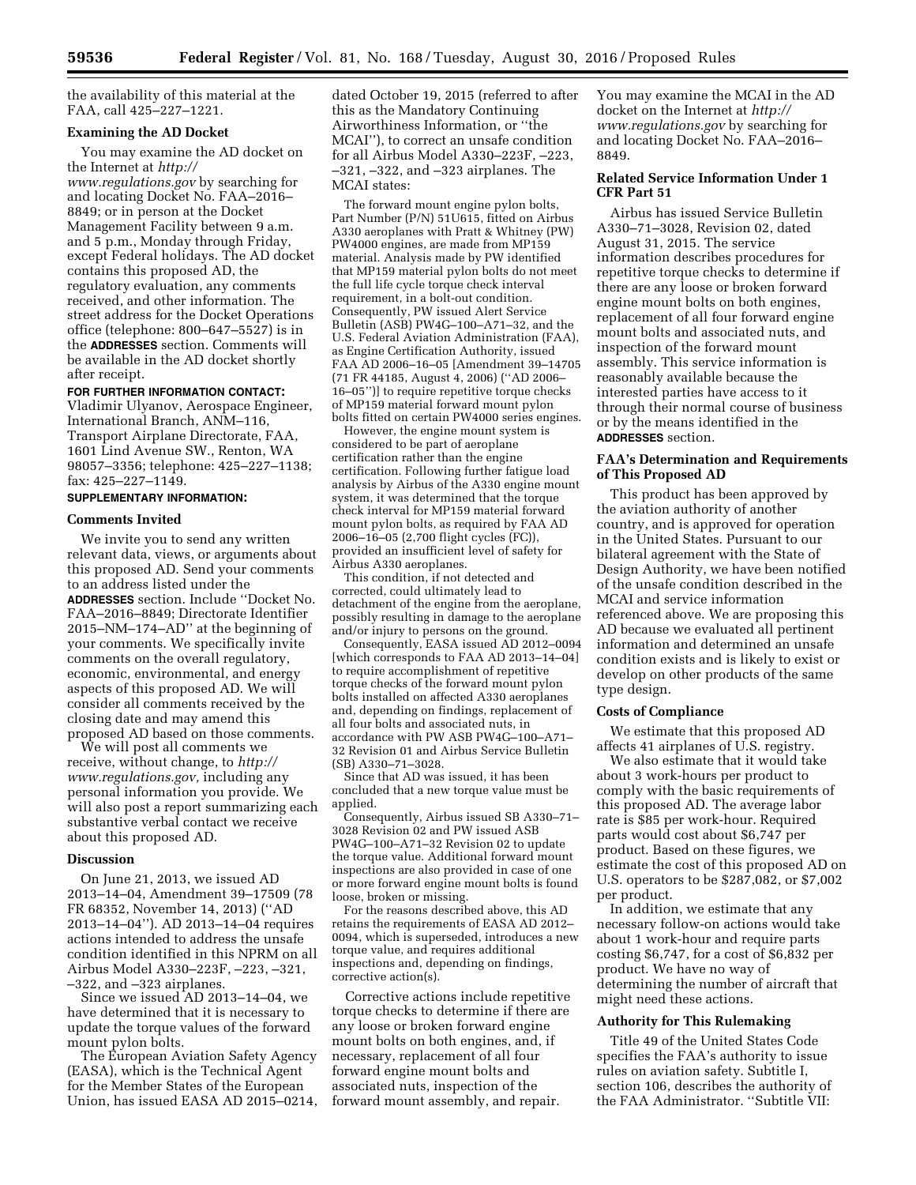the availability of this material at the FAA, call 425–227–1221.

#### **Examining the AD Docket**

You may examine the AD docket on the Internet at *[http://](http://www.regulations.gov) [www.regulations.gov](http://www.regulations.gov)* by searching for and locating Docket No. FAA–2016– 8849; or in person at the Docket Management Facility between 9 a.m. and 5 p.m., Monday through Friday, except Federal holidays. The AD docket contains this proposed AD, the regulatory evaluation, any comments received, and other information. The street address for the Docket Operations office (telephone: 800–647–5527) is in the **ADDRESSES** section. Comments will be available in the AD docket shortly after receipt.

#### **FOR FURTHER INFORMATION CONTACT:**

Vladimir Ulyanov, Aerospace Engineer, International Branch, ANM–116, Transport Airplane Directorate, FAA, 1601 Lind Avenue SW., Renton, WA 98057–3356; telephone: 425–227–1138; fax: 425–227–1149.

### **SUPPLEMENTARY INFORMATION:**

#### **Comments Invited**

We invite you to send any written relevant data, views, or arguments about this proposed AD. Send your comments to an address listed under the **ADDRESSES** section. Include ''Docket No. FAA–2016–8849; Directorate Identifier 2015–NM–174–AD'' at the beginning of your comments. We specifically invite comments on the overall regulatory, economic, environmental, and energy aspects of this proposed AD. We will consider all comments received by the closing date and may amend this proposed AD based on those comments.

We will post all comments we receive, without change, to *[http://](http://www.regulations.gov) [www.regulations.gov,](http://www.regulations.gov)* including any personal information you provide. We will also post a report summarizing each substantive verbal contact we receive about this proposed AD.

### **Discussion**

On June 21, 2013, we issued AD 2013–14–04, Amendment 39–17509 (78 FR 68352, November 14, 2013) (''AD 2013–14–04''). AD 2013–14–04 requires actions intended to address the unsafe condition identified in this NPRM on all Airbus Model A330–223F, –223, –321, –322, and –323 airplanes.

Since we issued AD 2013–14–04, we have determined that it is necessary to update the torque values of the forward mount pylon bolts.

The European Aviation Safety Agency (EASA), which is the Technical Agent for the Member States of the European Union, has issued EASA AD 2015–0214, dated October 19, 2015 (referred to after this as the Mandatory Continuing Airworthiness Information, or ''the MCAI''), to correct an unsafe condition for all Airbus Model A330–223F, –223, –321, –322, and –323 airplanes. The MCAI states:

The forward mount engine pylon bolts, Part Number (P/N) 51U615, fitted on Airbus A330 aeroplanes with Pratt & Whitney (PW) PW4000 engines, are made from MP159 material. Analysis made by PW identified that MP159 material pylon bolts do not meet the full life cycle torque check interval requirement, in a bolt-out condition. Consequently, PW issued Alert Service Bulletin (ASB) PW4G–100–A71–32, and the U.S. Federal Aviation Administration (FAA), as Engine Certification Authority, issued FAA AD 2006–16–05 [Amendment 39–14705 (71 FR 44185, August 4, 2006) (''AD 2006– 16–05'')] to require repetitive torque checks of MP159 material forward mount pylon bolts fitted on certain PW4000 series engines.

However, the engine mount system is considered to be part of aeroplane certification rather than the engine certification. Following further fatigue load analysis by Airbus of the A330 engine mount system, it was determined that the torque check interval for MP159 material forward mount pylon bolts, as required by FAA AD 2006–16–05 (2,700 flight cycles (FC)), provided an insufficient level of safety for Airbus A330 aeroplanes.

This condition, if not detected and corrected, could ultimately lead to detachment of the engine from the aeroplane, possibly resulting in damage to the aeroplane and/or injury to persons on the ground.

Consequently, EASA issued AD 2012–0094 [which corresponds to FAA AD 2013–14–04] to require accomplishment of repetitive torque checks of the forward mount pylon bolts installed on affected A330 aeroplanes and, depending on findings, replacement of all four bolts and associated nuts, in accordance with PW ASB PW4G–100–A71– 32 Revision 01 and Airbus Service Bulletin (SB) A330–71–3028.

Since that AD was issued, it has been concluded that a new torque value must be applied.

Consequently, Airbus issued SB A330–71– 3028 Revision 02 and PW issued ASB PW4G–100–A71–32 Revision 02 to update the torque value. Additional forward mount inspections are also provided in case of one or more forward engine mount bolts is found loose, broken or missing.

For the reasons described above, this AD retains the requirements of EASA AD 2012– 0094, which is superseded, introduces a new torque value, and requires additional inspections and, depending on findings, corrective action(s).

Corrective actions include repetitive torque checks to determine if there are any loose or broken forward engine mount bolts on both engines, and, if necessary, replacement of all four forward engine mount bolts and associated nuts, inspection of the forward mount assembly, and repair.

You may examine the MCAI in the AD docket on the Internet at *[http://](http://www.regulations.gov) [www.regulations.gov](http://www.regulations.gov)* by searching for and locating Docket No. FAA–2016– 8849.

### **Related Service Information Under 1 CFR Part 51**

Airbus has issued Service Bulletin A330–71–3028, Revision 02, dated August 31, 2015. The service information describes procedures for repetitive torque checks to determine if there are any loose or broken forward engine mount bolts on both engines, replacement of all four forward engine mount bolts and associated nuts, and inspection of the forward mount assembly. This service information is reasonably available because the interested parties have access to it through their normal course of business or by the means identified in the **ADDRESSES** section.

# **FAA's Determination and Requirements of This Proposed AD**

This product has been approved by the aviation authority of another country, and is approved for operation in the United States. Pursuant to our bilateral agreement with the State of Design Authority, we have been notified of the unsafe condition described in the MCAI and service information referenced above. We are proposing this AD because we evaluated all pertinent information and determined an unsafe condition exists and is likely to exist or develop on other products of the same type design.

# **Costs of Compliance**

We estimate that this proposed AD affects 41 airplanes of U.S. registry.

We also estimate that it would take about 3 work-hours per product to comply with the basic requirements of this proposed AD. The average labor rate is \$85 per work-hour. Required parts would cost about \$6,747 per product. Based on these figures, we estimate the cost of this proposed AD on U.S. operators to be \$287,082, or \$7,002 per product.

In addition, we estimate that any necessary follow-on actions would take about 1 work-hour and require parts costing \$6,747, for a cost of \$6,832 per product. We have no way of determining the number of aircraft that might need these actions.

#### **Authority for This Rulemaking**

Title 49 of the United States Code specifies the FAA's authority to issue rules on aviation safety. Subtitle I, section 106, describes the authority of the FAA Administrator. ''Subtitle VII: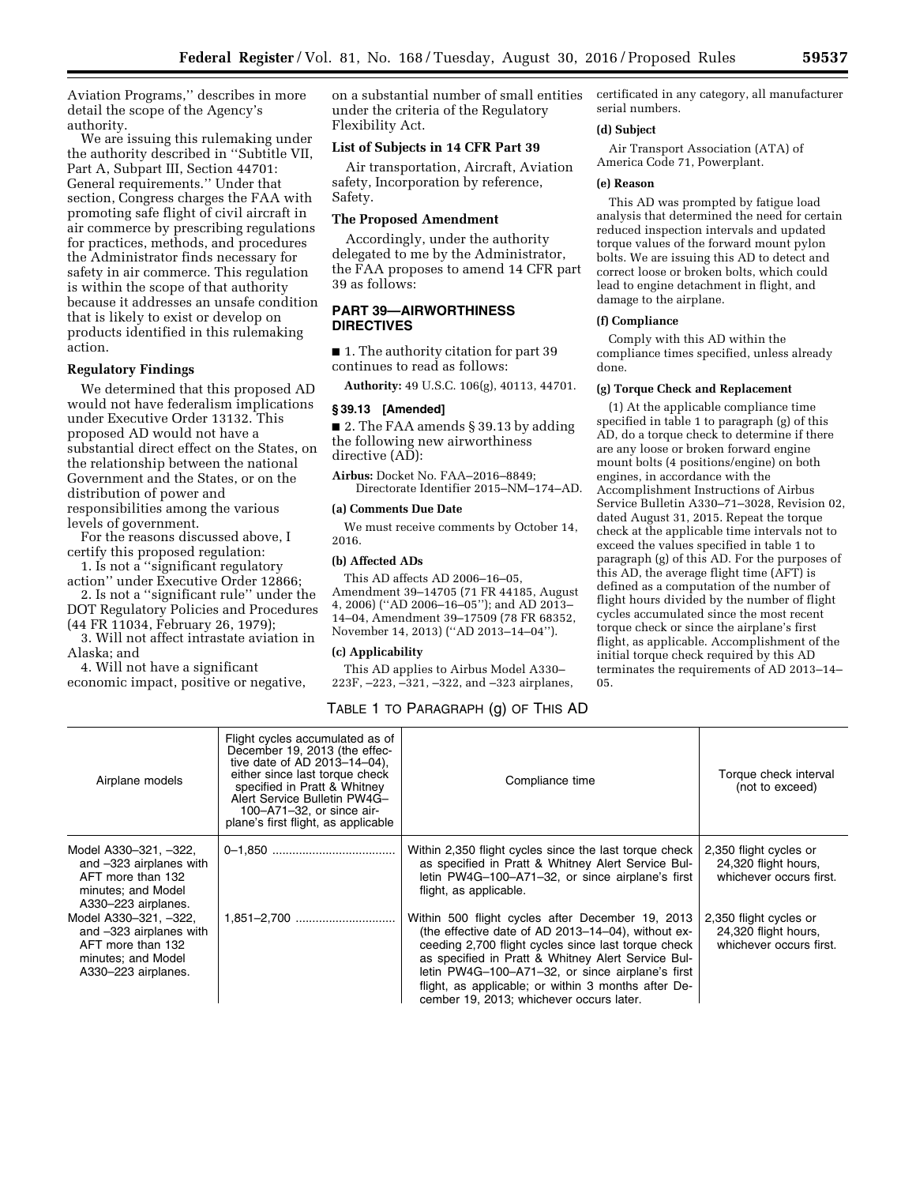Aviation Programs,'' describes in more detail the scope of the Agency's authority.

We are issuing this rulemaking under the authority described in ''Subtitle VII, Part A, Subpart III, Section 44701: General requirements.'' Under that section, Congress charges the FAA with promoting safe flight of civil aircraft in air commerce by prescribing regulations for practices, methods, and procedures the Administrator finds necessary for safety in air commerce. This regulation is within the scope of that authority because it addresses an unsafe condition that is likely to exist or develop on products identified in this rulemaking action.

### **Regulatory Findings**

We determined that this proposed AD would not have federalism implications under Executive Order 13132. This proposed AD would not have a substantial direct effect on the States, on the relationship between the national Government and the States, or on the distribution of power and responsibilities among the various levels of government.

For the reasons discussed above, I certify this proposed regulation:

1. Is not a ''significant regulatory action'' under Executive Order 12866;

2. Is not a ''significant rule'' under the DOT Regulatory Policies and Procedures (44 FR 11034, February 26, 1979);

3. Will not affect intrastate aviation in Alaska; and

4. Will not have a significant economic impact, positive or negative, on a substantial number of small entities under the criteria of the Regulatory Flexibility Act.

### **List of Subjects in 14 CFR Part 39**

Air transportation, Aircraft, Aviation safety, Incorporation by reference, Safety.

# **The Proposed Amendment**

Accordingly, under the authority delegated to me by the Administrator, the FAA proposes to amend 14 CFR part 39 as follows:

# **PART 39—AIRWORTHINESS DIRECTIVES**

■ 1. The authority citation for part 39 continues to read as follows:

**Authority:** 49 U.S.C. 106(g), 40113, 44701.

#### **§ 39.13 [Amended]**

■ 2. The FAA amends § 39.13 by adding the following new airworthiness directive (AD):

**Airbus:** Docket No. FAA–2016–8849; Directorate Identifier 2015–NM–174–AD.

### **(a) Comments Due Date**

We must receive comments by October 14, 2016.

### **(b) Affected ADs**

This AD affects AD 2006–16–05, Amendment 39–14705 (71 FR 44185, August 4, 2006) (''AD 2006–16–05''); and AD 2013– 14–04, Amendment 39–17509 (78 FR 68352, November 14, 2013) (''AD 2013–14–04'').

# **(c) Applicability**

This AD applies to Airbus Model A330– 223F, –223, –321, –322, and –323 airplanes, certificated in any category, all manufacturer serial numbers.

### **(d) Subject**

Air Transport Association (ATA) of America Code 71, Powerplant.

#### **(e) Reason**

This AD was prompted by fatigue load analysis that determined the need for certain reduced inspection intervals and updated torque values of the forward mount pylon bolts. We are issuing this AD to detect and correct loose or broken bolts, which could lead to engine detachment in flight, and damage to the airplane.

#### **(f) Compliance**

Comply with this AD within the compliance times specified, unless already done.

#### **(g) Torque Check and Replacement**

(1) At the applicable compliance time specified in table 1 to paragraph (g) of this AD, do a torque check to determine if there are any loose or broken forward engine mount bolts (4 positions/engine) on both engines, in accordance with the Accomplishment Instructions of Airbus Service Bulletin A330–71–3028, Revision 02, dated August 31, 2015. Repeat the torque check at the applicable time intervals not to exceed the values specified in table 1 to paragraph (g) of this AD. For the purposes of this AD, the average flight time (AFT) is defined as a computation of the number of flight hours divided by the number of flight cycles accumulated since the most recent torque check or since the airplane's first flight, as applicable. Accomplishment of the initial torque check required by this AD terminates the requirements of AD 2013–14– 05.

# TABLE 1 TO PARAGRAPH (g) OF THIS AD

| Airplane models                                                                                                    | Flight cycles accumulated as of<br>December 19, 2013 (the effec-<br>tive date of AD 2013-14-04).<br>either since last torque check<br>specified in Pratt & Whitney<br>Alert Service Bulletin PW4G-<br>100-A71-32, or since air-<br>plane's first flight, as applicable | Compliance time                                                                                                                                                                                                                                                                                                                                                            | Torque check interval<br>(not to exceed)                                  |
|--------------------------------------------------------------------------------------------------------------------|------------------------------------------------------------------------------------------------------------------------------------------------------------------------------------------------------------------------------------------------------------------------|----------------------------------------------------------------------------------------------------------------------------------------------------------------------------------------------------------------------------------------------------------------------------------------------------------------------------------------------------------------------------|---------------------------------------------------------------------------|
| Model A330-321, -322,<br>and -323 airplanes with<br>AFT more than 132<br>minutes; and Model<br>A330-223 airplanes. |                                                                                                                                                                                                                                                                        | Within 2,350 flight cycles since the last torque check<br>as specified in Pratt & Whitney Alert Service Bul-<br>letin PW4G-100-A71-32, or since airplane's first<br>flight, as applicable.                                                                                                                                                                                 | 2,350 flight cycles or<br>24,320 flight hours,<br>whichever occurs first. |
| Model A330-321. -322.<br>and -323 airplanes with<br>AFT more than 132<br>minutes; and Model<br>A330-223 airplanes. |                                                                                                                                                                                                                                                                        | Within 500 flight cycles after December 19, 2013<br>(the effective date of AD 2013-14-04), without ex-<br>ceeding 2,700 flight cycles since last torque check<br>as specified in Pratt & Whitney Alert Service Bul-<br>letin PW4G-100-A71-32, or since airplane's first<br>flight, as applicable; or within 3 months after De-<br>cember 19, 2013; whichever occurs later. | 2,350 flight cycles or<br>24,320 flight hours,<br>whichever occurs first. |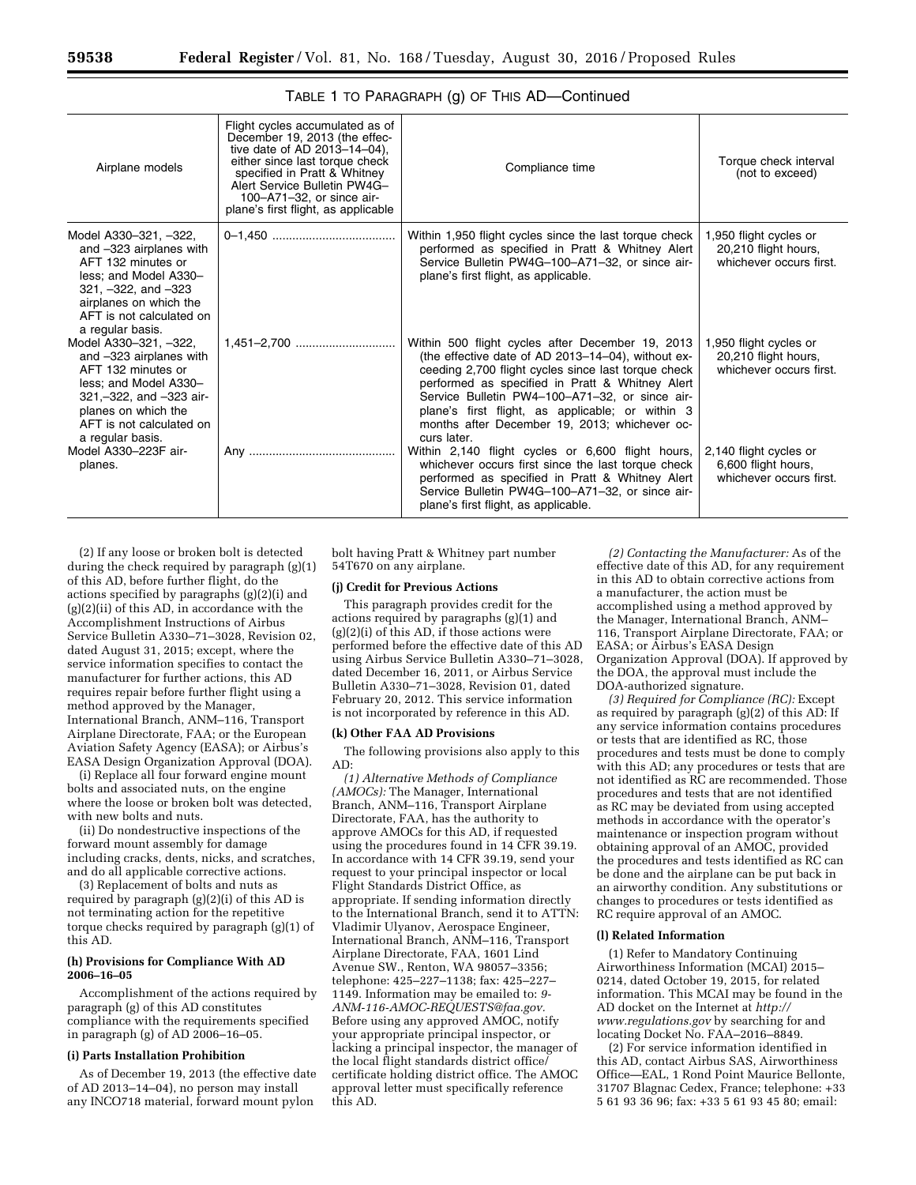| Airplane models                                                                                                                                                                                      | Flight cycles accumulated as of<br>December 19, 2013 (the effec-<br>tive date of AD $2013 - 14 - 04$ ,<br>either since last torque check<br>specified in Pratt & Whitney<br>Alert Service Bulletin PW4G-<br>100-A71-32, or since air-<br>plane's first flight, as applicable | Compliance time                                                                                                                                                                                                                                                                                                                                                                        | Torque check interval<br>(not to exceed)                                  |
|------------------------------------------------------------------------------------------------------------------------------------------------------------------------------------------------------|------------------------------------------------------------------------------------------------------------------------------------------------------------------------------------------------------------------------------------------------------------------------------|----------------------------------------------------------------------------------------------------------------------------------------------------------------------------------------------------------------------------------------------------------------------------------------------------------------------------------------------------------------------------------------|---------------------------------------------------------------------------|
| Model A330-321, -322,<br>and -323 airplanes with<br>AFT 132 minutes or<br>less; and Model A330-<br>$321, -322,$ and $-323$<br>airplanes on which the<br>AFT is not calculated on<br>a regular basis. |                                                                                                                                                                                                                                                                              | Within 1,950 flight cycles since the last torque check<br>performed as specified in Pratt & Whitney Alert<br>Service Bulletin PW4G-100-A71-32, or since air-<br>plane's first flight, as applicable.                                                                                                                                                                                   | 1,950 flight cycles or<br>20,210 flight hours,<br>whichever occurs first. |
| Model A330-321, -322,<br>and -323 airplanes with<br>AFT 132 minutes or<br>less; and Model A330-<br>321,-322, and -323 air-<br>planes on which the<br>AFT is not calculated on<br>a regular basis.    |                                                                                                                                                                                                                                                                              | Within 500 flight cycles after December 19, 2013<br>(the effective date of AD 2013-14-04), without ex-<br>ceeding 2,700 flight cycles since last torque check<br>performed as specified in Pratt & Whitney Alert<br>Service Bulletin PW4-100-A71-32, or since air-<br>plane's first flight, as applicable; or within 3<br>months after December 19, 2013; whichever oc-<br>curs later. | 1,950 flight cycles or<br>20,210 flight hours,<br>whichever occurs first. |
| Model A330-223F air-<br>planes.                                                                                                                                                                      |                                                                                                                                                                                                                                                                              | Within 2,140 flight cycles or 6,600 flight hours,<br>whichever occurs first since the last torque check<br>performed as specified in Pratt & Whitney Alert<br>Service Bulletin PW4G-100-A71-32, or since air-<br>plane's first flight, as applicable.                                                                                                                                  | 2,140 flight cycles or<br>6,600 flight hours,<br>whichever occurs first.  |

# TABLE 1 TO PARAGRAPH (g) OF THIS AD—Continued

(2) If any loose or broken bolt is detected during the check required by paragraph (g)(1) of this AD, before further flight, do the actions specified by paragraphs (g)(2)(i) and  $(g)(2)(ii)$  of this AD, in accordance with the Accomplishment Instructions of Airbus Service Bulletin A330–71–3028, Revision 02, dated August 31, 2015; except, where the service information specifies to contact the manufacturer for further actions, this AD requires repair before further flight using a method approved by the Manager, International Branch, ANM–116, Transport Airplane Directorate, FAA; or the European Aviation Safety Agency (EASA); or Airbus's EASA Design Organization Approval (DOA).

(i) Replace all four forward engine mount bolts and associated nuts, on the engine where the loose or broken bolt was detected, with new bolts and nuts.

(ii) Do nondestructive inspections of the forward mount assembly for damage including cracks, dents, nicks, and scratches, and do all applicable corrective actions.

(3) Replacement of bolts and nuts as required by paragraph (g)(2)(i) of this AD is not terminating action for the repetitive torque checks required by paragraph (g)(1) of this AD.

#### **(h) Provisions for Compliance With AD 2006–16–05**

Accomplishment of the actions required by paragraph (g) of this AD constitutes compliance with the requirements specified in paragraph (g) of AD 2006–16–05.

#### **(i) Parts Installation Prohibition**

As of December 19, 2013 (the effective date of AD 2013–14–04), no person may install any INCO718 material, forward mount pylon

bolt having Pratt & Whitney part number 54T670 on any airplane.

#### **(j) Credit for Previous Actions**

This paragraph provides credit for the actions required by paragraphs (g)(1) and (g)(2)(i) of this AD, if those actions were performed before the effective date of this AD using Airbus Service Bulletin A330–71–3028, dated December 16, 2011, or Airbus Service Bulletin A330–71–3028, Revision 01, dated February 20, 2012. This service information is not incorporated by reference in this AD.

#### **(k) Other FAA AD Provisions**

The following provisions also apply to this AD:

*(1) Alternative Methods of Compliance (AMOCs):* The Manager, International Branch, ANM–116, Transport Airplane Directorate, FAA, has the authority to approve AMOCs for this AD, if requested using the procedures found in 14 CFR 39.19. In accordance with 14 CFR 39.19, send your request to your principal inspector or local Flight Standards District Office, as appropriate. If sending information directly to the International Branch, send it to ATTN: Vladimir Ulyanov, Aerospace Engineer, International Branch, ANM–116, Transport Airplane Directorate, FAA, 1601 Lind Avenue SW., Renton, WA 98057–3356; telephone: 425–227–1138; fax: 425–227– 1149. Information may be emailed to: *[9-](mailto:9-ANM-116-AMOC-REQUESTS@faa.gov)  [ANM-116-AMOC-REQUESTS@faa.gov.](mailto:9-ANM-116-AMOC-REQUESTS@faa.gov)*  Before using any approved AMOC, notify your appropriate principal inspector, or lacking a principal inspector, the manager of the local flight standards district office/ certificate holding district office. The AMOC approval letter must specifically reference this AD.

*(2) Contacting the Manufacturer:* As of the effective date of this AD, for any requirement in this AD to obtain corrective actions from a manufacturer, the action must be accomplished using a method approved by the Manager, International Branch, ANM– 116, Transport Airplane Directorate, FAA; or EASA; or Airbus's EASA Design Organization Approval (DOA). If approved by the DOA, the approval must include the DOA-authorized signature.

*(3) Required for Compliance (RC):* Except as required by paragraph (g)(2) of this AD: If any service information contains procedures or tests that are identified as RC, those procedures and tests must be done to comply with this AD; any procedures or tests that are not identified as RC are recommended. Those procedures and tests that are not identified as RC may be deviated from using accepted methods in accordance with the operator's maintenance or inspection program without obtaining approval of an AMOC, provided the procedures and tests identified as RC can be done and the airplane can be put back in an airworthy condition. Any substitutions or changes to procedures or tests identified as RC require approval of an AMOC.

### **(l) Related Information**

(1) Refer to Mandatory Continuing Airworthiness Information (MCAI) 2015– 0214, dated October 19, 2015, for related information. This MCAI may be found in the AD docket on the Internet at *[http://](http://www.regulations.gov) [www.regulations.gov](http://www.regulations.gov)* by searching for and locating Docket No. FAA–2016–8849.

(2) For service information identified in this AD, contact Airbus SAS, Airworthiness Office—EAL, 1 Rond Point Maurice Bellonte, 31707 Blagnac Cedex, France; telephone: +33 5 61 93 36 96; fax: +33 5 61 93 45 80; email: